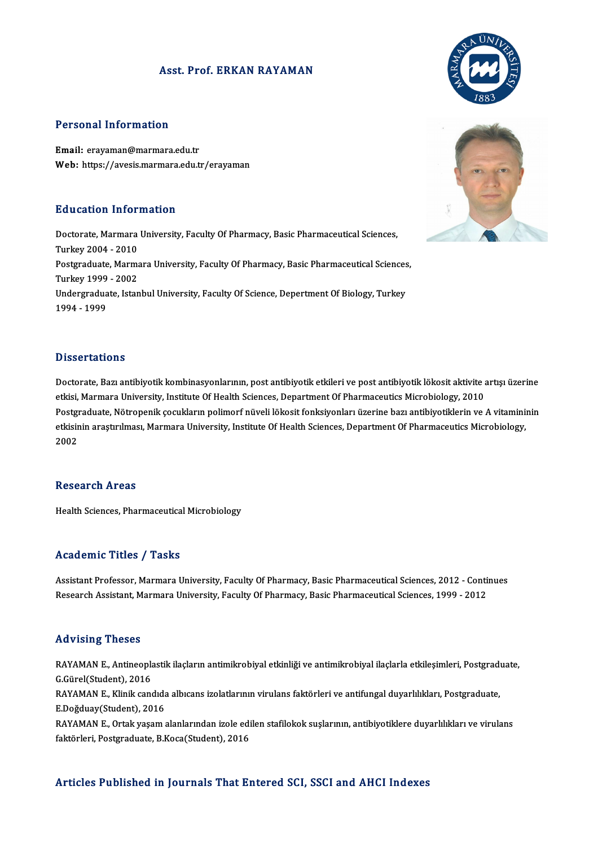### Asst. Prof. ERKAN RAYAMAN

### Personal Information

Email: erayaman@marmara.edu.tr Web: https://avesis.marmara.edu.tr/erayaman

### Education Information

**Education Information**<br>Doctorate, Marmara University, Faculty Of Pharmacy, Basic Pharmaceutical Sciences,<br>Turkey 2004, 2010 Eu acation 111101<br>Doctorate, Marmara<br>Turkey 2004 - 2010<br>Bostavaduate Marma Doctorate, Marmara University, Faculty Of Pharmacy, Basic Pharmaceutical Sciences,<br>Turkey 2004 - 2010<br>Postgraduate, Marmara University, Faculty Of Pharmacy, Basic Pharmaceutical Sciences,<br>Turkey 1999 - 2002 Turkey 2004 - 2010<br>Postgraduate, Marma<br>Turkey 1999 - 2002<br>Undergraduate Istan Postgraduate, Marmara University, Faculty Of Pharmacy, Basic Pharmaceutical Sciences<br>Turkey 1999 - 2002<br>Undergraduate, Istanbul University, Faculty Of Science, Depertment Of Biology, Turkey<br>1994 - 1999 Turkey 1999 - 2002<br>Undergraduate, Istanbul University, Faculty Of Science, Depertment Of Biology, Turkey<br>1994 - 1999

### **Dissertations**

Dissertations<br>Doctorate, Bazı antibiyotik kombinasyonlarının, post antibiyotik etkileri ve post antibiyotik lökosit aktivite artışı üzerine<br>etkisi Marmara University Institute Of Haalth Ssianses, Denartmart Of Pharmaseutis e isseer tationis<br>Doctorate, Bazı antibiyotik kombinasyonlarının, post antibiyotik etkileri ve post antibiyotik lökosit aktivite<br>Ekkisi, Marmara University, Institute Of Health Sciences, Department Of Pharmaceutics Microbi Doctorate, Bazı antibiyotik kombinasyonlarının, post antibiyotik etkileri ve post antibiyotik lökosit aktivite artışı üzerine<br>etkisi, Marmara University, Institute Of Health Sciences, Department Of Pharmaceutics Microbiolo etkisi, Marmara University, Institute Of Health Sciences, Department Of Pharmaceutics Microbiology, 2010<br>Postgraduate, Nötropenik çocukların polimorf nüveli lökosit fonksiyonları üzerine bazı antibiyotiklerin ve A vitamini Postgi<br>etkisir<br>2002 2002<br>Research Areas

Health Sciences, Pharmaceutical Microbiology

### Academic Titles / Tasks

Academic Titles / Tasks<br>Assistant Professor, Marmara University, Faculty Of Pharmacy, Basic Pharmaceutical Sciences, 2012 - Continues<br>Research Assistant Marmara University, Faculty Of Pharmacy, Basic Pharmaceutical Science rredd emre "Prese" / "Pdens"<br>Assistant Professor, Marmara University, Faculty Of Pharmacy, Basic Pharmaceutical Sciences, 2012 - Conti<br>Research Assistant, Marmara University, Faculty Of Pharmacy, Basic Pharmaceutical Scien Research Assistant, Marmara University, Faculty Of Pharmacy, Basic Pharmaceutical Sciences, 1999 - 2012<br>Advising Theses

Advising Theses<br>RAYAMAN E., Antineoplastik ilaçların antimikrobiyal etkinliği ve antimikrobiyal ilaçlarla etkileşimleri, Postgraduate,<br>S.Gürel(Student), 2016 THE THESES<br>RAYAMAN E., Antineopla<br>G.Gürel(Student), 2016<br>RAYAMAN E., Klinik can RAYAMAN E., Antineoplastik ilaçların antimikrobiyal etkinliği ve antimikrobiyal ilaçlarla etkileşimleri, Postgradı<br>G.Gürel(Student), 2016<br>RAYAMAN E., Klinik candıda albıcans izolatlarının virulans faktörleri ve antifungal

G.Gürel(Student), 2016<br>RAYAMAN E., Klinik candıda albıcans izolatlarının virulans faktörleri ve antifungal duyarlılıkları, Postgraduate,<br>E.Doğduay(Student), 2016 RAYAMAN E., Klinik candıda albıcans izolatlarının virulans faktörleri ve antifungal duyarlılıkları, Postgraduate,<br>E.Doğduay(Student), 2016<br>RAYAMAN E., Ortak yaşam alanlarından izole edilen stafilokok suşlarının, antibiyoti

E.Doğduay(Student), 2016<br>RAYAMAN E., Ortak yaşam alanlarından izole edi<br>faktörleri, Postgraduate, B.Koca(Student), 2016

## faktörleri, Postgraduate, B.Koca(Student), 2016<br>Articles Published in Journals That Entered SCI, SSCI and AHCI Indexes



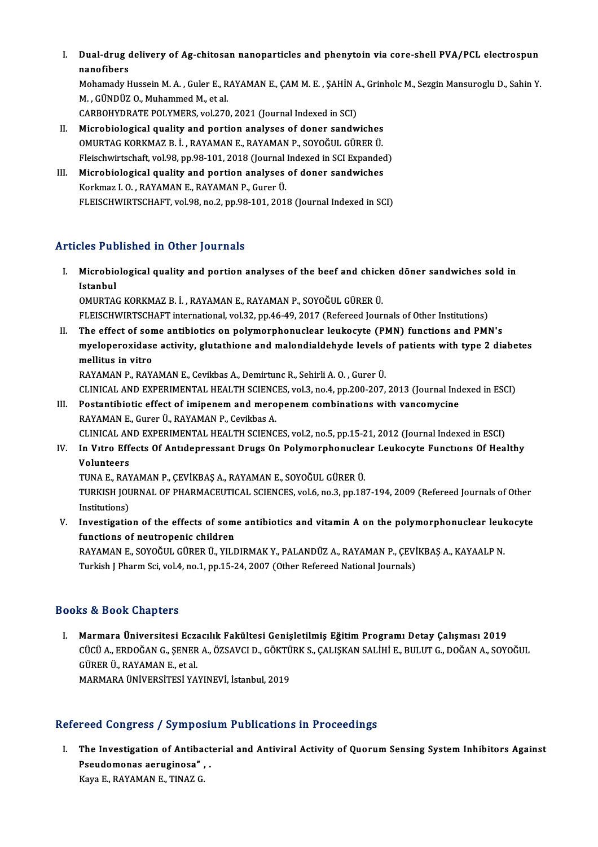I. Dual-drug delivery of Ag-chitosan nanoparticles and phenytoin via core-shel PVA/PCL electrospun Dual-drug<br>nanofibers<br>Mehamedu k Dual-drug delivery of Ag-chitosan nanoparticles and phenytoin via core-shell PVA/PCL electrospun<br>nanofibers<br>Mohamady Hussein M. A. , Guler E., RAYAMAN E., ÇAM M. E. , ŞAHİN A., Grinholc M., Sezgin Mansuroglu D., Sahin Y<br>M.

nanofibers<br>Mohamady Hussein M. A. , Guler E., RAYAMAN E., ÇAM M. E. , ŞAHİN A., Grinholc M., Sezgin Mansuroglu D., Sahin Y<br>M. , GÜNDÜZ O., Muhammed M., et al.

CARBOHYDRATE POLYMERS, vol.270, 2021 (Journal Indexed in SCI)

- II. Microbiological quality and portion analyses of doner sandwiches CARBOHYDRATE POLYMERS, vol.270, 2021 (Journal Indexed in SCI)<br>Microbiological quality and portion analyses of doner sandwiches<br>OMURTAG KORKMAZ B. İ. , RAYAMAN E., RAYAMAN P., SOYOĞUL GÜRER Ü.<br>Flajschwirtschaft vol.99, np.9 Microbiological quality and portion analyses of doner sandwiches<br>OMURTAG KORKMAZ B. İ. , RAYAMAN E., RAYAMAN P., SOYOĞUL GÜRER Ü.<br>Fleischwirtschaft, vol.98, pp.98-101, 2018 (Journal Indexed in SCI Expanded)<br>Microbiological OMURTAG KORKMAZ B. İ. , RAYAMAN E., RAYAMAN P., SOYOĞUL GÜRER Ü.<br>Fleischwirtschaft, vol.98, pp.98-101, 2018 (Journal Indexed in SCI Expanded<br>III. Microbiological quality and portion analyses of doner sandwiches<br>Korkmaz J.
- Fleischwirtschaft, vol.98, pp.98-101, 2018 (Journal<br>Microbiological quality and portion analyses<br>Korkmaz I. O. , RAYAMAN E., RAYAMAN P., Gurer Ü.<br>ELEISCHWIPTSCHAET, vol.99, pp.2, pp.99, 101, 201 Korkmaz I. O. , RAYAMAN E., RAYAMAN P., Gurer Ü.<br>FLEISCHWIRTSCHAFT, vol.98, no.2, pp.98-101, 2018 (Journal Indexed in SCI)

### Articles Published in Other Journals

I. Microbiological quality and portion analyses of the beef and chicken döner sandwiches sold in Microbic<br>Istanbul<br>OMUPTA Microbiological quality and portion analyses of the beef and chick<br>Istanbul<br>OMURTAG KORKMAZ B. İ. , RAYAMAN E., RAYAMAN P., SOYOĞUL GÜRER Ü.<br>ELEISCHWIPTSCHAET international val 32 nn 46.49. 3017 (Refereed Jour Istanbul<br>OMURTAG KORKMAZ B. İ. , RAYAMAN E., RAYAMAN P., SOYOĞUL GÜRER Ü.<br>FLEISCHWIRTSCHAFT international, vol.32, pp.46-49, 2017 (Refereed Journals of Other Institutions)

II. The effect of some antibiotics on polymorphonuclear leukocyte (PMN) functions and PMN's FLEISCHWIRTSCHAFT international, vol.32, pp.46-49, 2017 (Refereed Journals of Other Institutions)<br>The effect of some antibiotics on polymorphonuclear leukocyte (PMN) functions and PMN's<br>myeloperoxidase activity, glutathion The effect of son<br>myeloperoxidase<br>mellitus in vitro<br>PAYAMAN P-PAY myeloperoxidase activity, glutathione and malondialdehyde levels<br>mellitus in vitro<br>RAYAMAN P., RAYAMAN E., Cevikbas A., Demirtunc R., Sehirli A. O. , Gurer Ü.<br>CLINICAL AND EXPERIMENTAL HEALTH SCIENCES vol.3, no.4, np.300,3 mellitus in vitro<br>RAYAMAN P., RAYAMAN E., Cevikbas A., Demirtunc R., Sehirli A. O. , Gurer Ü.<br>CLINICAL AND EXPERIMENTAL HEALTH SCIENCES, vol.3, no.4, pp.200-207, 2013 (Journal Indexed in ESCI)<br>Postantibiotis effect of imin

RAYAMAN P., RAYAMAN E., Cevikbas A., Demirtunc R., Sehirli A. O., Gurer Ü.<br>CLINICAL AND EXPERIMENTAL HEALTH SCIENCES, vol.3, no.4, pp.200-207, 2013 (Journal Ind<br>III. Postantibiotic effect of imipenem and meropenem combinat CLINICAL AND EXPERIMENTAL HEALTH SCIENC<br>Postantibiotic effect of imipenem and mero<br>RAYAMAN E., Gurer Ü., RAYAMAN P., Cevikbas A.<br>CLINICAL AND EXPERIMENTAL HEALTH SCIENC Postantibiotic effect of imipenem and meropenem combinations with vancomycine<br>RAYAMAN E., Gurer Ü., RAYAMAN P., Cevikbas A.<br>CLINICAL AND EXPERIMENTAL HEALTH SCIENCES, vol.2, no.5, pp.15-21, 2012 (Journal Indexed in ESCI)<br>I

RAYAMAN E., Gurer Ü., RAYAMAN P., Cevikbas A.<br>CLINICAL AND EXPERIMENTAL HEALTH SCIENCES, vol.2, no.5, pp.15-21, 2012 (Journal Indexed in ESCI)<br>IV. In Vitro Effects Of Antidepressant Drugs On Polymorphonuclear Leukocyte Fun CLINICAL AN<br>In Vitro Eff<br>Volunteers<br>TINA E BAN In Vıtro Effects Of Antidepressant Drugs On Polymorphonucle:<br>Volunteers<br>TUNA E., RAYAMAN P., ÇEVİKBAŞ A., RAYAMAN E., SOYOĞUL GÜRER Ü.<br>TURKISH JOURNAL OF PHARMACEUTICAL SCIENCES val 6 no 3 nn 19

Volunteers<br>TUNA E., RAYAMAN P., ÇEVİKBAŞ A., RAYAMAN E., SOYOĞUL GÜRER Ü.<br>TURKISH JOURNAL OF PHARMACEUTICAL SCIENCES, vol.6, no.3, pp.187-194, 2009 (Refereed Journals of Other<br>Institutions) TUNA E., RAY<br>TURKISH JOU<br>Institutions)<br>Investisatio TURKISH JOURNAL OF PHARMACEUTICAL SCIENCES, vol.6, no.3, pp.187-194, 2009 (Refereed Journals of Other<br>Institutions)<br>V. Investigation of the effects of some antibiotics and vitamin A on the polymorphonuclear leukocyte<br>funct

Institutions)<br>Investigation of the effects of som<br>functions of neutropenic children<br>RAVAMANE SOVOČIU CÜRER ÜLVUT Investigation of the effects of some antibiotics and vitamin A on the polymorphonuclear leuk<br>functions of neutropenic children<br>RAYAMAN E., SOYOĞUL GÜRER Ü., YILDIRMAK Y., PALANDÜZ A., RAYAMAN P., ÇEVİKBAŞ A., KAYAALP N.<br>Tu

functions of neutropenic children<br>RAYAMAN E., SOYOĞUL GÜRER Ü., YILDIRMAK Y., PALANDÜZ A., RAYAMAN P., ÇEVİKBAŞ A., KAYAALP N.<br>Turkish J Pharm Sci, vol.4, no.1, pp.15-24, 2007 (Other Refereed National Journals)

### Books&Book Chapters

I. Marmara Üniversitesi Eczacılık Fakültesi Genişletilmiş EğitimProgramı Detay Çalışması 2019 LÜ & DUDA GALPESTU<br>Marmara Üniversitesi Eczacılık Fakültesi Genişletilmiş Eğitim Programı Detay Çalışması 2019<br>CÜCÜ A., ERDOĞAN G., ŞENER A., ÖZSAVCI D., GÖKTÜRK S., ÇALIŞKAN SALİHİ E., BULUT G., DOĞAN A., SOYOĞUL<br>CÜPER ÜL Marmara Üniversitesi Ecza<br>CÜCÜ A., ERDOĞAN G., ŞENER<br>GÜRER Ü., RAYAMAN E., et al.<br>MARMARA ÜNİVERSİTESI YA CÜCÜ A., ERDOĞAN G., ŞENER A., ÖZSAVCI D., GÖKTÜ<br>GÜRER Ü., RAYAMAN E., et al.<br>MARMARA ÜNİVERSİTESİ YAYINEVİ, İstanbul, 2019

# MARMARA ÜNIVERSITESI YAYINEVI, İstanbul, 2019<br>Refereed Congress / Symposium Publications in Proceedings

I. The Investigation of Antibacterial and Antiviral Activity of Quorum Sensing System Inhibitors Against Preudomy Corp of Antibact<br>Pseudomonas aeruginosa" , .<br>Pava E. BAYAMAN E. TINAZ C The Investigation of Antiba<br>Pseudomonas aeruginosa",<br>Kaya E., RAYAMAN E., TINAZ G.